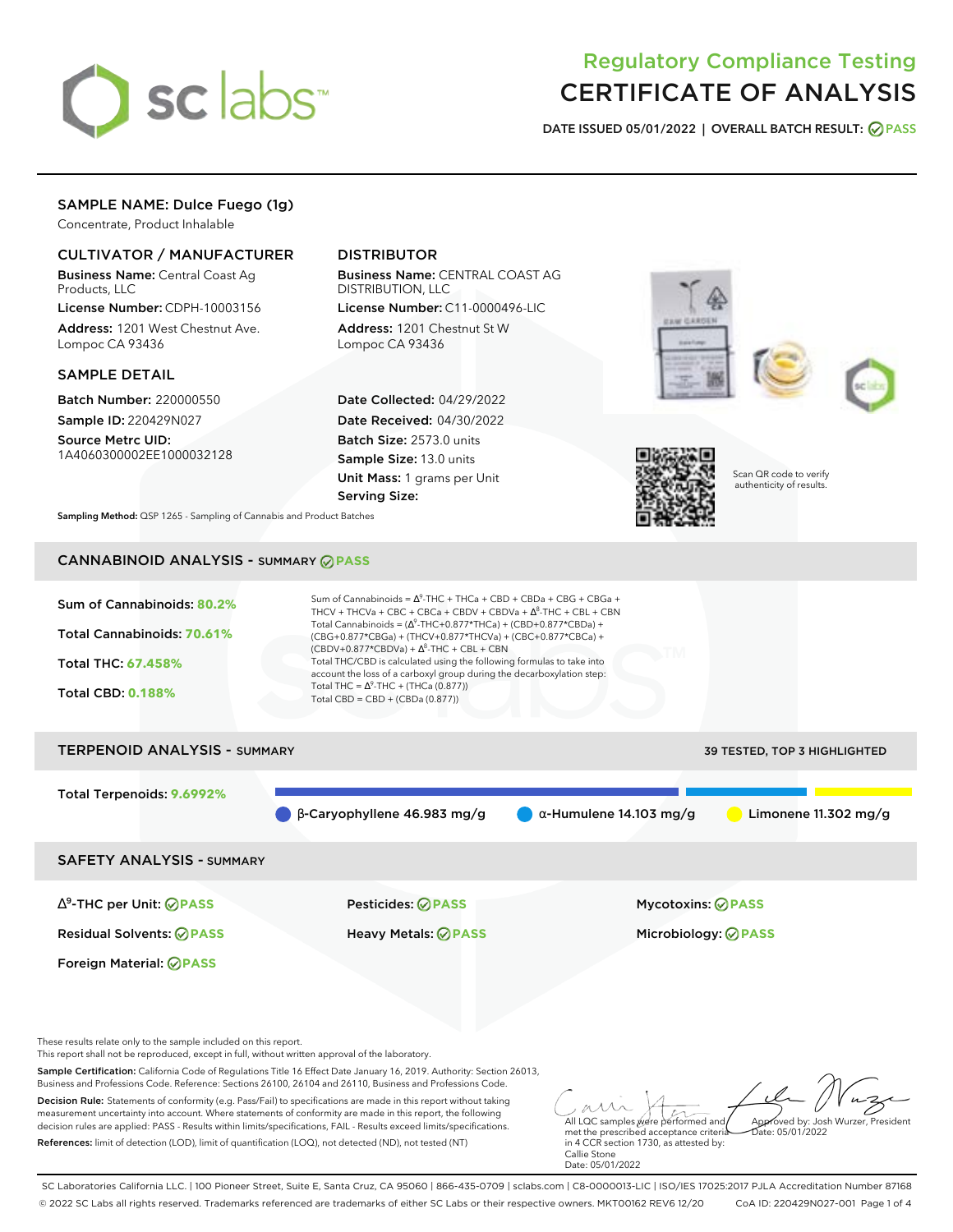

# Regulatory Compliance Testing CERTIFICATE OF ANALYSIS

**DATE ISSUED 05/01/2022 | OVERALL BATCH RESULT: PASS**

# SAMPLE NAME: Dulce Fuego (1g)

Concentrate, Product Inhalable

## CULTIVATOR / MANUFACTURER

Business Name: Central Coast Ag Products, LLC

License Number: CDPH-10003156 Address: 1201 West Chestnut Ave. Lompoc CA 93436

#### SAMPLE DETAIL

Batch Number: 220000550 Sample ID: 220429N027

Source Metrc UID: 1A4060300002EE1000032128

## DISTRIBUTOR

Business Name: CENTRAL COAST AG DISTRIBUTION, LLC License Number: C11-0000496-LIC

Address: 1201 Chestnut St W Lompoc CA 93436

Date Collected: 04/29/2022 Date Received: 04/30/2022 Batch Size: 2573.0 units Sample Size: 13.0 units Unit Mass: 1 grams per Unit Serving Size:





Scan QR code to verify authenticity of results.

**Sampling Method:** QSP 1265 - Sampling of Cannabis and Product Batches

## CANNABINOID ANALYSIS - SUMMARY **PASS**



These results relate only to the sample included on this report.

This report shall not be reproduced, except in full, without written approval of the laboratory.

Sample Certification: California Code of Regulations Title 16 Effect Date January 16, 2019. Authority: Section 26013, Business and Professions Code. Reference: Sections 26100, 26104 and 26110, Business and Professions Code.

Decision Rule: Statements of conformity (e.g. Pass/Fail) to specifications are made in this report without taking measurement uncertainty into account. Where statements of conformity are made in this report, the following decision rules are applied: PASS - Results within limits/specifications, FAIL - Results exceed limits/specifications. References: limit of detection (LOD), limit of quantification (LOQ), not detected (ND), not tested (NT)

All LQC samples were performed and met the prescribed acceptance criteria Approved by: Josh Wurzer, President Date: 05/01/2022

in 4 CCR section 1730, as attested by: Callie Stone Date: 05/01/2022

SC Laboratories California LLC. | 100 Pioneer Street, Suite E, Santa Cruz, CA 95060 | 866-435-0709 | sclabs.com | C8-0000013-LIC | ISO/IES 17025:2017 PJLA Accreditation Number 87168 © 2022 SC Labs all rights reserved. Trademarks referenced are trademarks of either SC Labs or their respective owners. MKT00162 REV6 12/20 CoA ID: 220429N027-001 Page 1 of 4